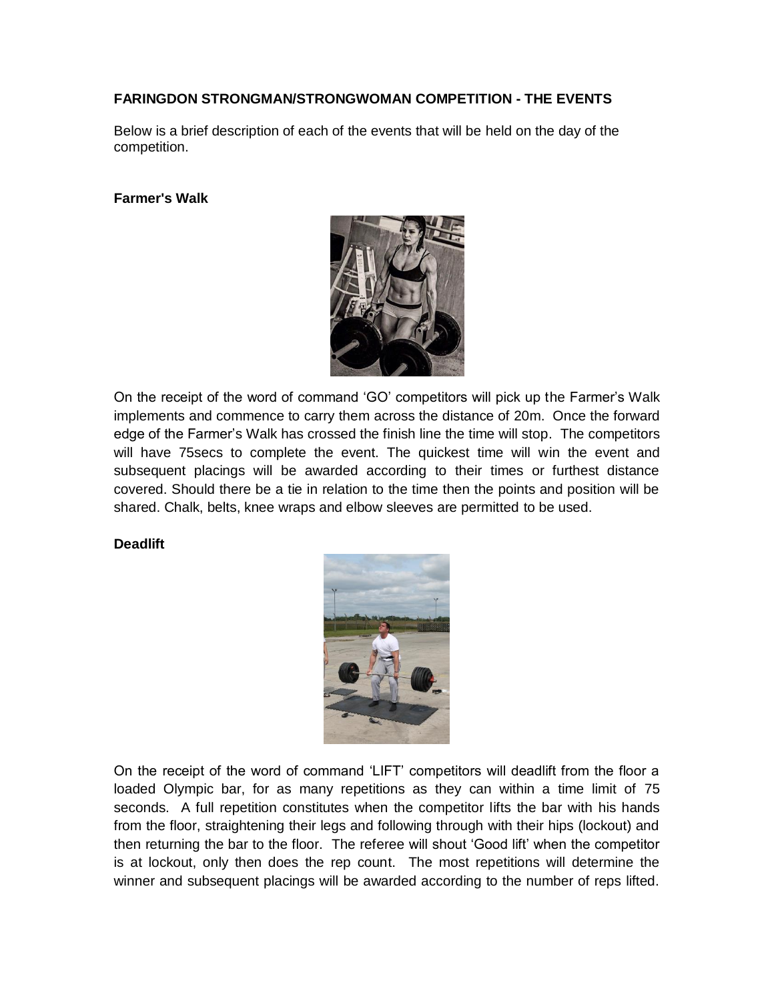# **FARINGDON STRONGMAN/STRONGWOMAN COMPETITION - THE EVENTS**

Below is a brief description of each of the events that will be held on the day of the competition.

#### **Farmer's Walk**



On the receipt of the word of command 'GO' competitors will pick up the Farmer's Walk implements and commence to carry them across the distance of 20m. Once the forward edge of the Farmer's Walk has crossed the finish line the time will stop. The competitors will have 75secs to complete the event. The quickest time will win the event and subsequent placings will be awarded according to their times or furthest distance covered. Should there be a tie in relation to the time then the points and position will be shared. Chalk, belts, knee wraps and elbow sleeves are permitted to be used.

### **Deadlift**



On the receipt of the word of command 'LIFT' competitors will deadlift from the floor a loaded Olympic bar, for as many repetitions as they can within a time limit of 75 seconds. A full repetition constitutes when the competitor lifts the bar with his hands from the floor, straightening their legs and following through with their hips (lockout) and then returning the bar to the floor. The referee will shout 'Good lift' when the competitor is at lockout, only then does the rep count. The most repetitions will determine the winner and subsequent placings will be awarded according to the number of reps lifted.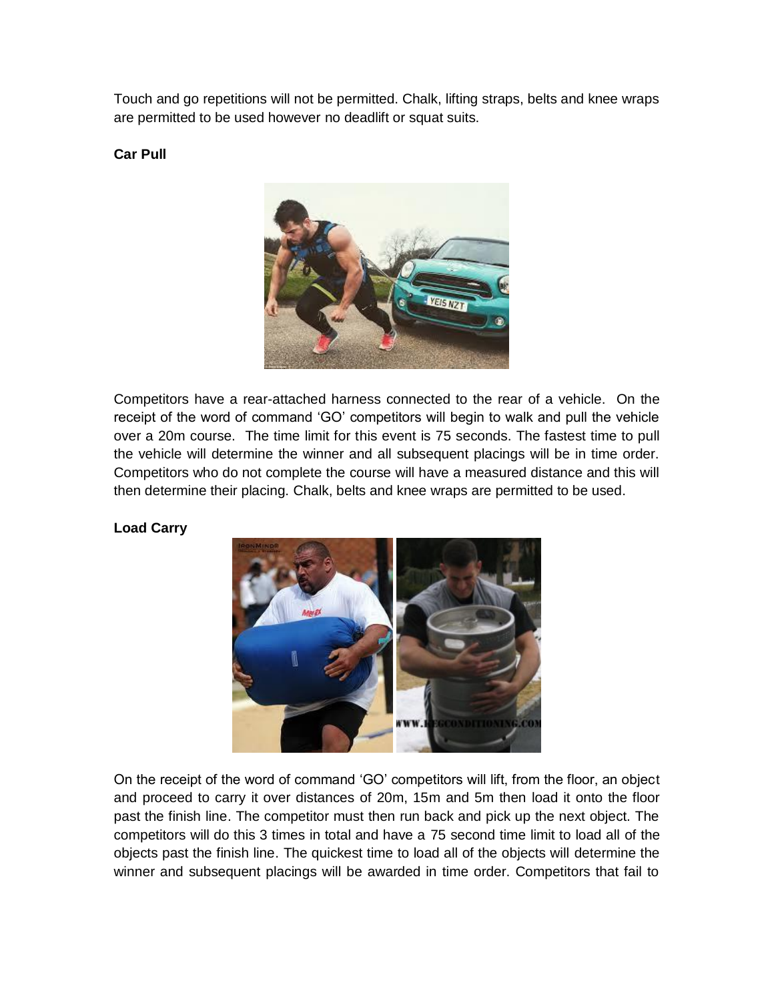Touch and go repetitions will not be permitted. Chalk, lifting straps, belts and knee wraps are permitted to be used however no deadlift or squat suits.

**Car Pull**



Competitors have a rear-attached harness connected to the rear of a vehicle. On the receipt of the word of command 'GO' competitors will begin to walk and pull the vehicle over a 20m course. The time limit for this event is 75 seconds. The fastest time to pull the vehicle will determine the winner and all subsequent placings will be in time order. Competitors who do not complete the course will have a measured distance and this will then determine their placing. Chalk, belts and knee wraps are permitted to be used.

### **Load Carry**



On the receipt of the word of command 'GO' competitors will lift, from the floor, an object and proceed to carry it over distances of 20m, 15m and 5m then load it onto the floor past the finish line. The competitor must then run back and pick up the next object. The competitors will do this 3 times in total and have a 75 second time limit to load all of the objects past the finish line. The quickest time to load all of the objects will determine the winner and subsequent placings will be awarded in time order. Competitors that fail to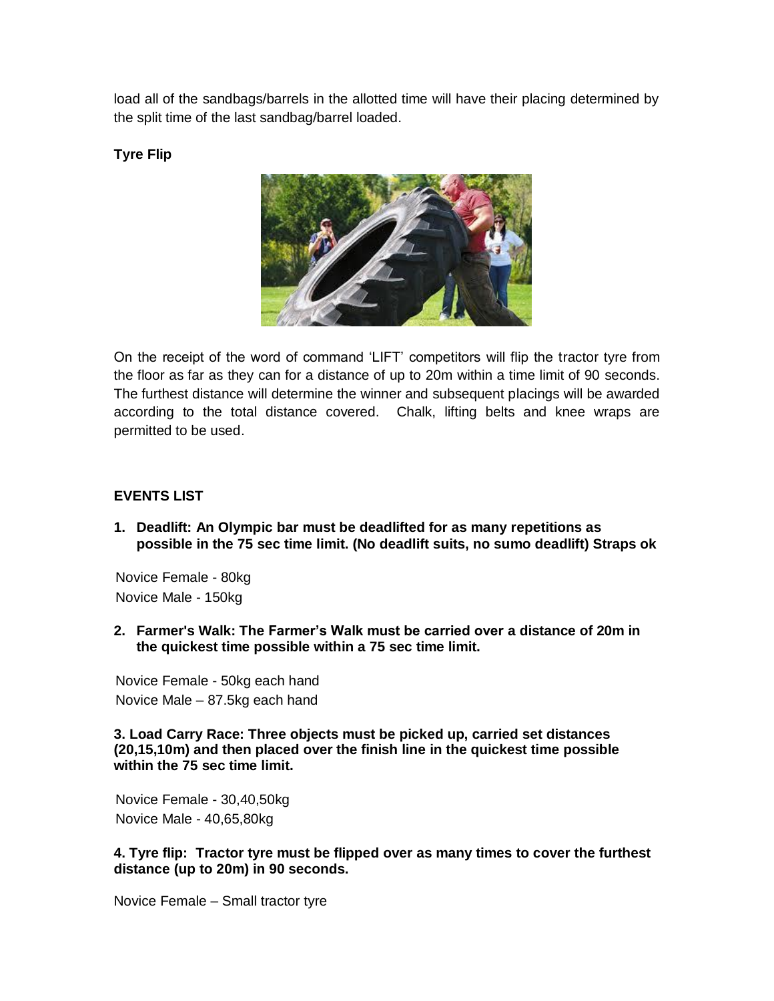load all of the sandbags/barrels in the allotted time will have their placing determined by the split time of the last sandbag/barrel loaded.

**Tyre Flip**



On the receipt of the word of command 'LIFT' competitors will flip the tractor tyre from the floor as far as they can for a distance of up to 20m within a time limit of 90 seconds. The furthest distance will determine the winner and subsequent placings will be awarded according to the total distance covered. Chalk, lifting belts and knee wraps are permitted to be used.

# **EVENTS LIST**

**1. Deadlift: An Olympic bar must be deadlifted for as many repetitions as possible in the 75 sec time limit. (No deadlift suits, no sumo deadlift) Straps ok**

Novice Female - 80kg Novice Male - 150kg

**2. Farmer's Walk: The Farmer's Walk must be carried over a distance of 20m in the quickest time possible within a 75 sec time limit.**

Novice Female - 50kg each hand Novice Male – 87.5kg each hand

**3. Load Carry Race: Three objects must be picked up, carried set distances (20,15,10m) and then placed over the finish line in the quickest time possible within the 75 sec time limit.**

Novice Female - 30,40,50kg Novice Male - 40,65,80kg

**4. Tyre flip: Tractor tyre must be flipped over as many times to cover the furthest distance (up to 20m) in 90 seconds.**

Novice Female – Small tractor tyre